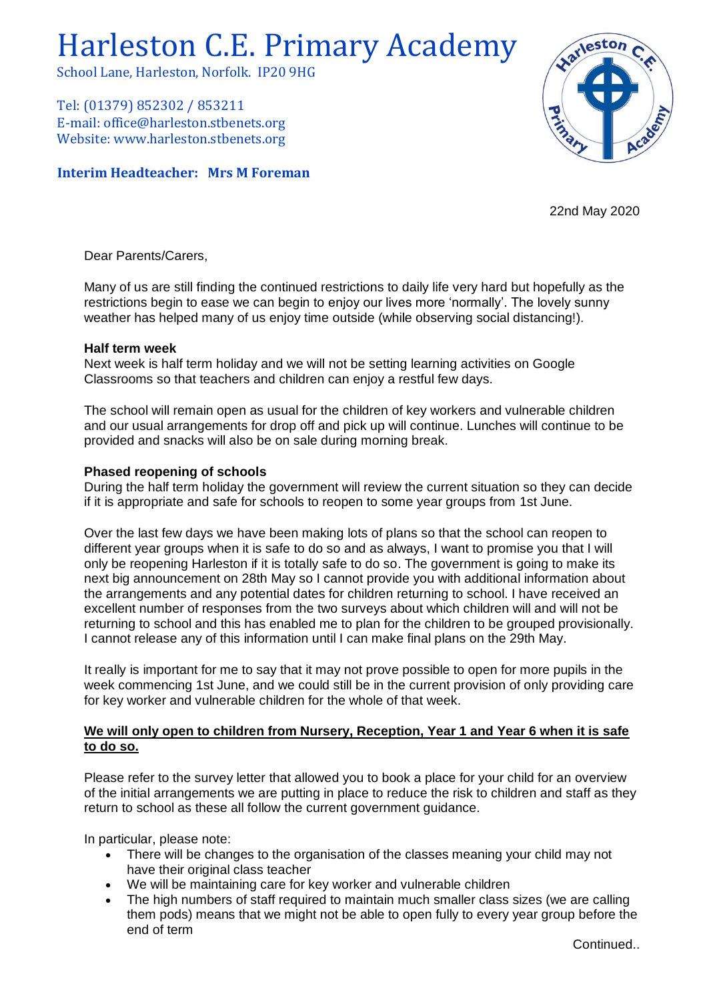# Harleston C.E. Primary Academy

School Lane, Harleston, Norfolk. IP20 9HG

Tel: (01379) 852302 / 853211 E-mail: office@harleston.stbenets.org Website: www.harleston.stbenets.org

## **Interim Headteacher: Mrs M Foreman**



22nd May 2020

Dear Parents/Carers,

Many of us are still finding the continued restrictions to daily life very hard but hopefully as the restrictions begin to ease we can begin to enjoy our lives more 'normally'. The lovely sunny weather has helped many of us enjoy time outside (while observing social distancing!).

### **Half term week**

Next week is half term holiday and we will not be setting learning activities on Google Classrooms so that teachers and children can enjoy a restful few days.

The school will remain open as usual for the children of key workers and vulnerable children and our usual arrangements for drop off and pick up will continue. Lunches will continue to be provided and snacks will also be on sale during morning break.

# **Phased reopening of schools**

During the half term holiday the government will review the current situation so they can decide if it is appropriate and safe for schools to reopen to some year groups from 1st June.

Over the last few days we have been making lots of plans so that the school can reopen to different year groups when it is safe to do so and as always, I want to promise you that I will only be reopening Harleston if it is totally safe to do so. The government is going to make its next big announcement on 28th May so I cannot provide you with additional information about the arrangements and any potential dates for children returning to school. I have received an excellent number of responses from the two surveys about which children will and will not be returning to school and this has enabled me to plan for the children to be grouped provisionally. I cannot release any of this information until I can make final plans on the 29th May.

It really is important for me to say that it may not prove possible to open for more pupils in the week commencing 1st June, and we could still be in the current provision of only providing care for key worker and vulnerable children for the whole of that week.

# **We will only open to children from Nursery, Reception, Year 1 and Year 6 when it is safe to do so.**

Please refer to the survey letter that allowed you to book a place for your child for an overview of the initial arrangements we are putting in place to reduce the risk to children and staff as they return to school as these all follow the current government guidance.

In particular, please note:

- There will be changes to the organisation of the classes meaning your child may not have their original class teacher
- We will be maintaining care for key worker and vulnerable children
- The high numbers of staff required to maintain much smaller class sizes (we are calling them pods) means that we might not be able to open fully to every year group before the end of term